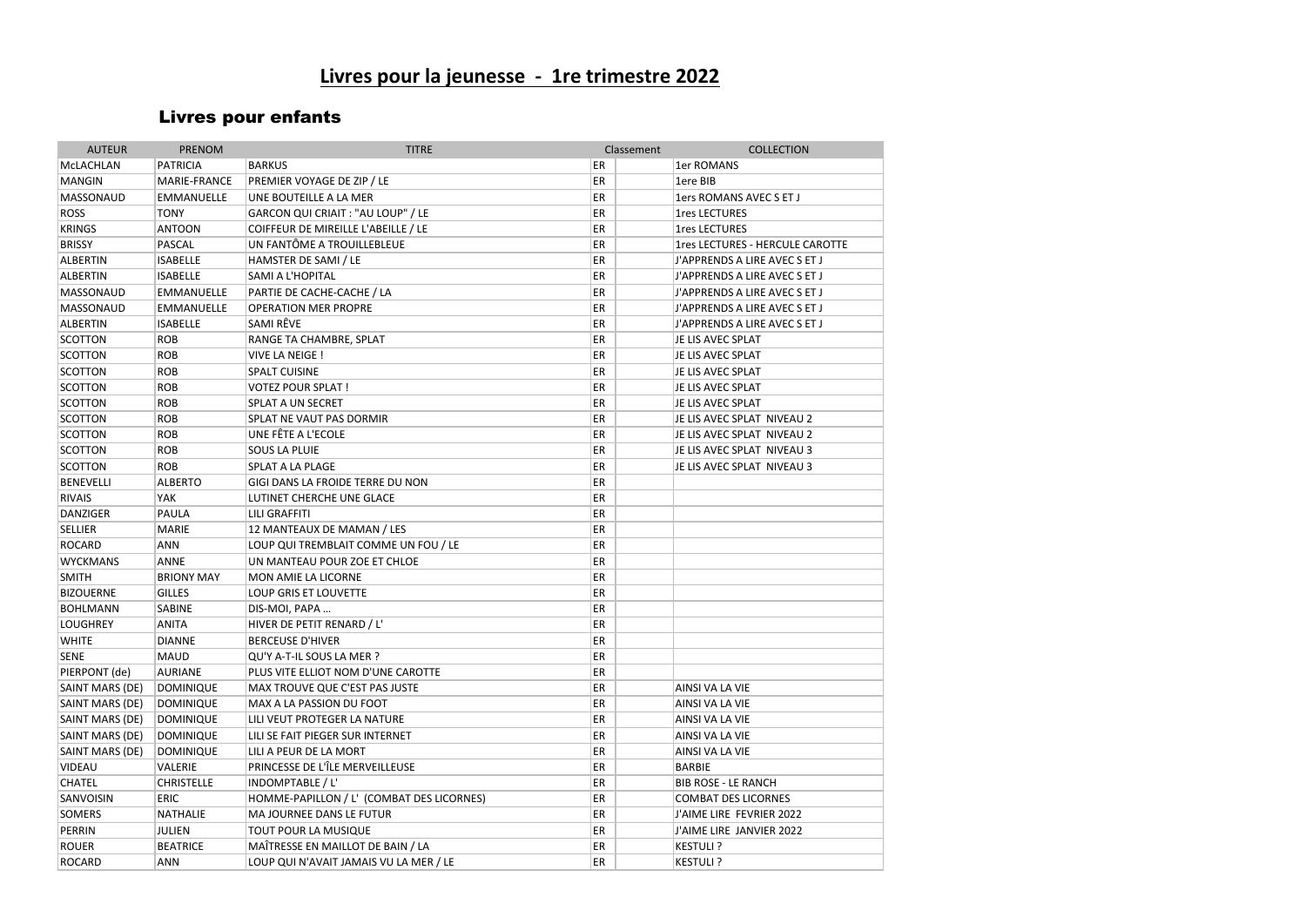# **Livres pour la jeunesse - 1re trimestre 2022**

## Livres pour enfants

| <b>AUTEUR</b>    | <b>PRENOM</b>     | <b>TITRE</b>                              | Classement | <b>COLLECTION</b>               |
|------------------|-------------------|-------------------------------------------|------------|---------------------------------|
| MCLACHLAN        | <b>PATRICIA</b>   | <b>BARKUS</b>                             | ER         | 1er ROMANS                      |
| <b>MANGIN</b>    | MARIE-FRANCE      | PREMIER VOYAGE DE ZIP / LE                | ER         | 1ere BIB                        |
| MASSONAUD        | <b>EMMANUELLE</b> | UNE BOUTEILLE A LA MER                    | ER         | 1ers ROMANS AVEC S ET J         |
| <b>ROSS</b>      | <b>TONY</b>       | GARCON QUI CRIAIT : "AU LOUP" / LE        | ER         | <b>1res LECTURES</b>            |
| <b>KRINGS</b>    | <b>ANTOON</b>     | COIFFEUR DE MIREILLE L'ABEILLE / LE       | ER         | <b>1res LECTURES</b>            |
| <b>BRISSY</b>    | PASCAL            | UN FANTÔME A TROUILLEBLEUE                | ER         | 1res LECTURES - HERCULE CAROTTE |
| <b>ALBERTIN</b>  | <b>ISABELLE</b>   | HAMSTER DE SAMI / LE                      | ER         | J'APPRENDS A LIRE AVEC S ET J   |
| <b>ALBERTIN</b>  | <b>ISABELLE</b>   | SAMI A L'HOPITAL                          | ER         | J'APPRENDS A LIRE AVEC S ET J   |
| <b>MASSONAUD</b> | <b>EMMANUELLE</b> | PARTIE DE CACHE-CACHE / LA                | ER         | J'APPRENDS A LIRE AVEC S ET J   |
| MASSONAUD        | <b>EMMANUELLE</b> | OPERATION MER PROPRE                      | ER         | J'APPRENDS A LIRE AVEC S ET J   |
| <b>ALBERTIN</b>  | <b>ISABELLE</b>   | SAMI RÊVE                                 | ER         | J'APPRENDS A LIRE AVEC S ET J   |
| <b>SCOTTON</b>   | <b>ROB</b>        | RANGE TA CHAMBRE, SPLAT                   | ER         | JE LIS AVEC SPLAT               |
| <b>SCOTTON</b>   | <b>ROB</b>        | VIVE LA NEIGE !                           | ER         | JE LIS AVEC SPLAT               |
| <b>SCOTTON</b>   | <b>ROB</b>        | <b>SPALT CUISINE</b>                      | ER         | JE LIS AVEC SPLAT               |
| <b>SCOTTON</b>   | <b>ROB</b>        | <b>VOTEZ POUR SPLAT!</b>                  | ER         | JE LIS AVEC SPLAT               |
| <b>SCOTTON</b>   | <b>ROB</b>        | <b>SPLAT A UN SECRET</b>                  | ER         | JE LIS AVEC SPLAT               |
| <b>SCOTTON</b>   | <b>ROB</b>        | SPLAT NE VAUT PAS DORMIR                  | ER         | JE LIS AVEC SPLAT NIVEAU 2      |
| <b>SCOTTON</b>   | <b>ROB</b>        | UNE FÊTE A L'ECOLE                        | ER         | JE LIS AVEC SPLAT NIVEAU 2      |
| <b>SCOTTON</b>   | <b>ROB</b>        | <b>SOUS LA PLUIE</b>                      | ER         | JE LIS AVEC SPLAT NIVEAU 3      |
| <b>SCOTTON</b>   | <b>ROB</b>        | SPLAT A LA PLAGE                          | ER         | JE LIS AVEC SPLAT NIVEAU 3      |
| <b>BENEVELLI</b> | <b>ALBERTO</b>    | GIGI DANS LA FROIDE TERRE DU NON          | ER         |                                 |
| <b>RIVAIS</b>    | YAK               | LUTINET CHERCHE UNE GLACE                 | ER         |                                 |
| <b>DANZIGER</b>  | PAULA             | <b>LILI GRAFFITI</b>                      | ER         |                                 |
| <b>SELLIER</b>   | <b>MARIE</b>      | 12 MANTEAUX DE MAMAN / LES                | ER         |                                 |
| <b>ROCARD</b>    | ANN               | LOUP QUI TREMBLAIT COMME UN FOU / LE      | ER         |                                 |
| <b>WYCKMANS</b>  | <b>ANNE</b>       | UN MANTEAU POUR ZOE ET CHLOE              | ER         |                                 |
| <b>SMITH</b>     | <b>BRIONY MAY</b> | MON AMIE LA LICORNE                       | ER         |                                 |
| <b>BIZOUERNE</b> | <b>GILLES</b>     | <b>LOUP GRIS ET LOUVETTE</b>              | ER         |                                 |
| <b>BOHLMANN</b>  | SABINE            | DIS-MOI, PAPA                             | ER         |                                 |
| <b>LOUGHREY</b>  | <b>ANITA</b>      | HIVER DE PETIT RENARD / L'                | ER         |                                 |
| <b>WHITE</b>     | <b>DIANNE</b>     | <b>BERCEUSE D'HIVER</b>                   | ER         |                                 |
| <b>SENE</b>      | <b>MAUD</b>       | QU'Y A-T-IL SOUS LA MER ?                 | ER         |                                 |
| PIERPONT (de)    | <b>AURIANE</b>    | PLUS VITE ELLIOT NOM D'UNE CAROTTE        | ER         |                                 |
| SAINT MARS (DE)  | <b>DOMINIQUE</b>  | MAX TROUVE QUE C'EST PAS JUSTE            | ER         | AINSI VA LA VIE                 |
| SAINT MARS (DE)  | <b>DOMINIQUE</b>  | MAX A LA PASSION DU FOOT                  | ER         | AINSI VA LA VIE                 |
| SAINT MARS (DE)  | <b>DOMINIQUE</b>  | LILI VEUT PROTEGER LA NATURE              | ER         | AINSI VA LA VIE                 |
| SAINT MARS (DE)  | <b>DOMINIQUE</b>  | LILI SE FAIT PIEGER SUR INTERNET          | ER         | AINSI VA LA VIE                 |
| SAINT MARS (DE)  | <b>DOMINIQUE</b>  | LILI A PEUR DE LA MORT                    | ER         | AINSI VA LA VIE                 |
| VIDEAU           | VALERIE           | PRINCESSE DE L'ÎLE MERVEILLEUSE           | ER         | <b>BARBIE</b>                   |
| CHATEL           | <b>CHRISTELLE</b> | INDOMPTABLE / L'                          | ER         | <b>BIB ROSE - LE RANCH</b>      |
| SANVOISIN        | ERIC              | HOMME-PAPILLON / L' (COMBAT DES LICORNES) | ER         | <b>COMBAT DES LICORNES</b>      |
| SOMERS           | NATHALIE          | MA JOURNEE DANS LE FUTUR                  | ER         | J'AIME LIRE FEVRIER 2022        |
| PERRIN           | <b>JULIEN</b>     | TOUT POUR LA MUSIQUE                      | ER         | J'AIME LIRE JANVIER 2022        |
| <b>ROUER</b>     | <b>BEATRICE</b>   | MAÎTRESSE EN MAILLOT DE BAIN / LA         | ER         | <b>KESTULI?</b>                 |
| <b>ROCARD</b>    | <b>ANN</b>        | LOUP QUI N'AVAIT JAMAIS VU LA MER / LE    | ER         | <b>KESTULI?</b>                 |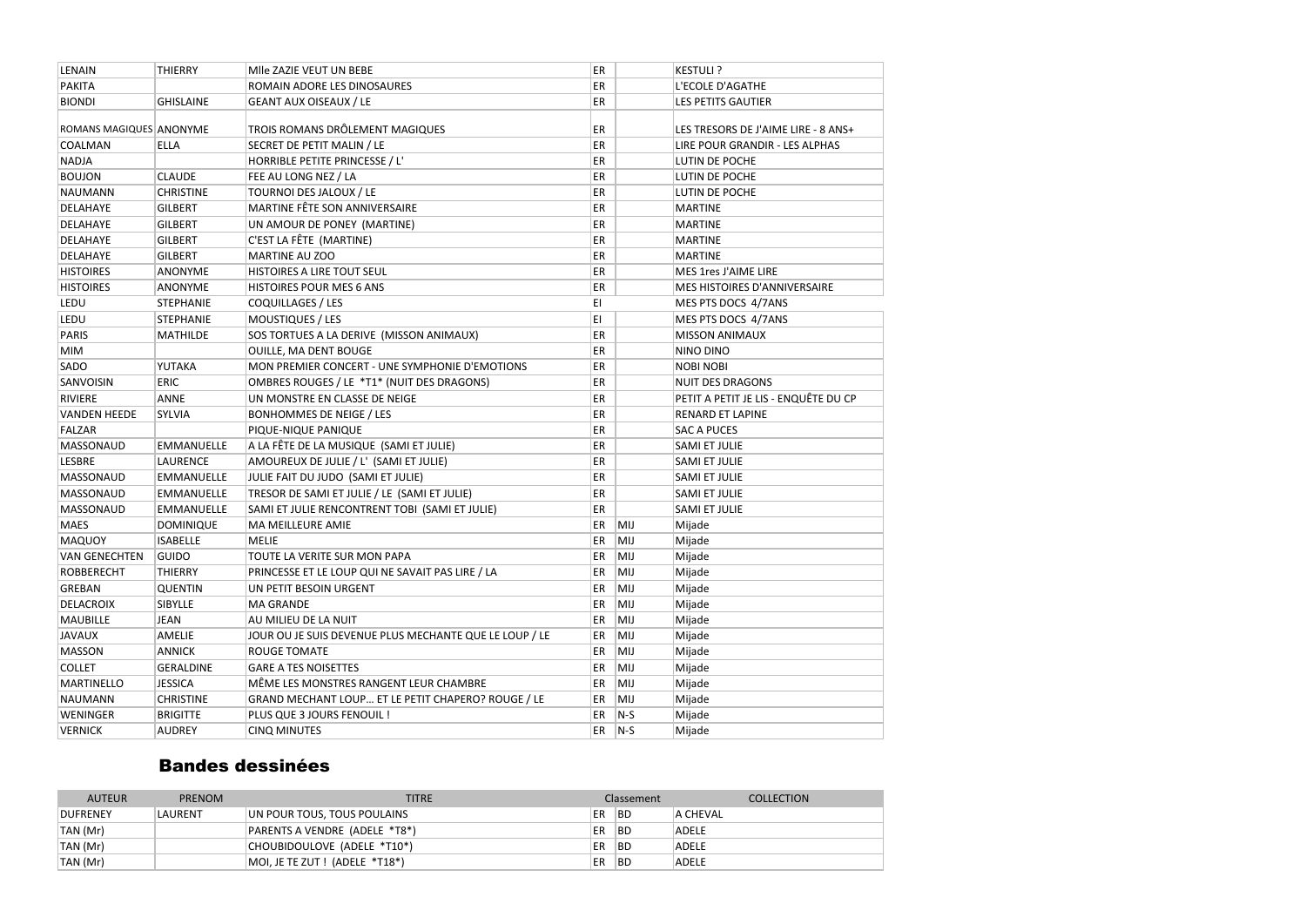| <b>PAKITA</b><br>ER<br>ROMAIN ADORE LES DINOSAURES<br>L'ECOLE D'AGATHE<br><b>BIONDI</b><br><b>GEANT AUX OISEAUX / LE</b><br>ER<br><b>LES PETITS GAUTIER</b><br><b>GHISLAINE</b><br>TROIS ROMANS DRÔLEMENT MAGIQUES<br>ROMANS MAGIQUES ANONYME<br>ER<br>LES TRESORS DE J'AIME LIRE - 8 ANS+<br>SECRET DE PETIT MALIN / LE<br>ER<br>COALMAN<br><b>ELLA</b><br>LIRE POUR GRANDIR - LES ALPHAS<br>ER<br><b>NADJA</b><br>HORRIBLE PETITE PRINCESSE / L'<br>LUTIN DE POCHE<br><b>BOUJON</b><br><b>CLAUDE</b><br>ER<br>FEE AU LONG NEZ / LA<br>LUTIN DE POCHE<br>TOURNOI DES JALOUX / LE<br>ER<br><b>NAUMANN</b><br><b>CHRISTINE</b><br>LUTIN DE POCHE<br>DELAHAYE<br>MARTINE FÊTE SON ANNIVERSAIRE<br>ER<br><b>GILBERT</b><br><b>MARTINE</b><br>ER<br>DELAHAYE<br><b>GILBERT</b><br>UN AMOUR DE PONEY (MARTINE)<br><b>MARTINE</b><br>C'EST LA FÊTE (MARTINE)<br>ER<br>DELAHAYE<br><b>GILBERT</b><br><b>MARTINE</b><br><b>DELAHAYE</b><br>ER<br><b>GILBERT</b><br><b>MARTINE AU ZOO</b><br><b>MARTINE</b><br><b>HISTOIRES</b><br>HISTOIRES A LIRE TOUT SEUL<br>ER<br>MES 1res J'AIME LIRE<br><b>ANONYME</b><br>ER<br><b>HISTOIRES</b><br>HISTOIRES POUR MES 6 ANS<br>MES HISTOIRES D'ANNIVERSAIRE<br><b>ANONYME</b><br>EI<br>LEDU<br><b>STEPHANIE</b><br>COQUILLAGES / LES<br>MES PTS DOCS 4/7ANS<br>EI<br>LEDU<br><b>STEPHANIE</b><br><b>MOUSTIQUES / LES</b><br>MES PTS DOCS 4/7ANS<br>ER<br><b>PARIS</b><br>SOS TORTUES A LA DERIVE (MISSON ANIMAUX)<br><b>MATHILDE</b><br><b>MISSON ANIMAUX</b><br>ER<br><b>MIM</b><br>OUILLE, MA DENT BOUGE<br>NINO DINO<br>SADO<br>ER<br>YUTAKA<br>MON PREMIER CONCERT - UNE SYMPHONIE D'EMOTIONS<br><b>NOBI NOBI</b><br>SANVOISIN<br><b>ERIC</b><br>OMBRES ROUGES / LE *T1* (NUIT DES DRAGONS)<br>ER<br><b>NUIT DES DRAGONS</b><br>ER<br><b>RIVIERE</b><br><b>ANNE</b><br>UN MONSTRE EN CLASSE DE NEIGE<br>PETIT A PETIT JE LIS - ENQUÊTE DU CP<br>ER<br><b>VANDEN HEEDE</b><br>SYLVIA<br><b>BONHOMMES DE NEIGE / LES</b><br><b>RENARD ET LAPINE</b><br><b>FALZAR</b><br>ER<br>PIQUE-NIQUE PANIQUE<br><b>SAC A PUCES</b><br><b>MASSONAUD</b><br>A LA FÊTE DE LA MUSIQUE (SAMI ET JULIE)<br>ER<br><b>EMMANUELLE</b><br>SAMI ET JULIE<br>ER<br><b>LESBRE</b><br>AMOUREUX DE JULIE / L' (SAMI ET JULIE)<br><b>LAURENCE</b><br>SAMI ET JULIE<br>ER<br><b>MASSONAUD</b><br>JULIE FAIT DU JUDO (SAMI ET JULIE)<br>SAMI ET JULIE<br><b>EMMANUELLE</b><br>ER<br><b>MASSONAUD</b><br>EMMANUELLE<br>TRESOR DE SAMI ET JULIE / LE (SAMI ET JULIE)<br>SAMI ET JULIE<br>ER<br><b>MASSONAUD</b><br><b>EMMANUELLE</b><br>SAMI ET JULIE RENCONTRENT TOBI (SAMI ET JULIE)<br><b>SAMI ET JULIE</b><br><b>MAES</b><br>ER<br>MIJ<br><b>DOMINIQUE</b><br><b>MA MEILLEURE AMIE</b><br>Mijade |
|--------------------------------------------------------------------------------------------------------------------------------------------------------------------------------------------------------------------------------------------------------------------------------------------------------------------------------------------------------------------------------------------------------------------------------------------------------------------------------------------------------------------------------------------------------------------------------------------------------------------------------------------------------------------------------------------------------------------------------------------------------------------------------------------------------------------------------------------------------------------------------------------------------------------------------------------------------------------------------------------------------------------------------------------------------------------------------------------------------------------------------------------------------------------------------------------------------------------------------------------------------------------------------------------------------------------------------------------------------------------------------------------------------------------------------------------------------------------------------------------------------------------------------------------------------------------------------------------------------------------------------------------------------------------------------------------------------------------------------------------------------------------------------------------------------------------------------------------------------------------------------------------------------------------------------------------------------------------------------------------------------------------------------------------------------------------------------------------------------------------------------------------------------------------------------------------------------------------------------------------------------------------------------------------------------------------------------------------------------------------------------------------------------------------------------------------------------------------------------------------------------------------------------------------------------------------------------------------------------------------------------------------------------------------------------------------------------|
|                                                                                                                                                                                                                                                                                                                                                                                                                                                                                                                                                                                                                                                                                                                                                                                                                                                                                                                                                                                                                                                                                                                                                                                                                                                                                                                                                                                                                                                                                                                                                                                                                                                                                                                                                                                                                                                                                                                                                                                                                                                                                                                                                                                                                                                                                                                                                                                                                                                                                                                                                                                                                                                                                                        |
|                                                                                                                                                                                                                                                                                                                                                                                                                                                                                                                                                                                                                                                                                                                                                                                                                                                                                                                                                                                                                                                                                                                                                                                                                                                                                                                                                                                                                                                                                                                                                                                                                                                                                                                                                                                                                                                                                                                                                                                                                                                                                                                                                                                                                                                                                                                                                                                                                                                                                                                                                                                                                                                                                                        |
|                                                                                                                                                                                                                                                                                                                                                                                                                                                                                                                                                                                                                                                                                                                                                                                                                                                                                                                                                                                                                                                                                                                                                                                                                                                                                                                                                                                                                                                                                                                                                                                                                                                                                                                                                                                                                                                                                                                                                                                                                                                                                                                                                                                                                                                                                                                                                                                                                                                                                                                                                                                                                                                                                                        |
|                                                                                                                                                                                                                                                                                                                                                                                                                                                                                                                                                                                                                                                                                                                                                                                                                                                                                                                                                                                                                                                                                                                                                                                                                                                                                                                                                                                                                                                                                                                                                                                                                                                                                                                                                                                                                                                                                                                                                                                                                                                                                                                                                                                                                                                                                                                                                                                                                                                                                                                                                                                                                                                                                                        |
|                                                                                                                                                                                                                                                                                                                                                                                                                                                                                                                                                                                                                                                                                                                                                                                                                                                                                                                                                                                                                                                                                                                                                                                                                                                                                                                                                                                                                                                                                                                                                                                                                                                                                                                                                                                                                                                                                                                                                                                                                                                                                                                                                                                                                                                                                                                                                                                                                                                                                                                                                                                                                                                                                                        |
|                                                                                                                                                                                                                                                                                                                                                                                                                                                                                                                                                                                                                                                                                                                                                                                                                                                                                                                                                                                                                                                                                                                                                                                                                                                                                                                                                                                                                                                                                                                                                                                                                                                                                                                                                                                                                                                                                                                                                                                                                                                                                                                                                                                                                                                                                                                                                                                                                                                                                                                                                                                                                                                                                                        |
|                                                                                                                                                                                                                                                                                                                                                                                                                                                                                                                                                                                                                                                                                                                                                                                                                                                                                                                                                                                                                                                                                                                                                                                                                                                                                                                                                                                                                                                                                                                                                                                                                                                                                                                                                                                                                                                                                                                                                                                                                                                                                                                                                                                                                                                                                                                                                                                                                                                                                                                                                                                                                                                                                                        |
|                                                                                                                                                                                                                                                                                                                                                                                                                                                                                                                                                                                                                                                                                                                                                                                                                                                                                                                                                                                                                                                                                                                                                                                                                                                                                                                                                                                                                                                                                                                                                                                                                                                                                                                                                                                                                                                                                                                                                                                                                                                                                                                                                                                                                                                                                                                                                                                                                                                                                                                                                                                                                                                                                                        |
|                                                                                                                                                                                                                                                                                                                                                                                                                                                                                                                                                                                                                                                                                                                                                                                                                                                                                                                                                                                                                                                                                                                                                                                                                                                                                                                                                                                                                                                                                                                                                                                                                                                                                                                                                                                                                                                                                                                                                                                                                                                                                                                                                                                                                                                                                                                                                                                                                                                                                                                                                                                                                                                                                                        |
|                                                                                                                                                                                                                                                                                                                                                                                                                                                                                                                                                                                                                                                                                                                                                                                                                                                                                                                                                                                                                                                                                                                                                                                                                                                                                                                                                                                                                                                                                                                                                                                                                                                                                                                                                                                                                                                                                                                                                                                                                                                                                                                                                                                                                                                                                                                                                                                                                                                                                                                                                                                                                                                                                                        |
|                                                                                                                                                                                                                                                                                                                                                                                                                                                                                                                                                                                                                                                                                                                                                                                                                                                                                                                                                                                                                                                                                                                                                                                                                                                                                                                                                                                                                                                                                                                                                                                                                                                                                                                                                                                                                                                                                                                                                                                                                                                                                                                                                                                                                                                                                                                                                                                                                                                                                                                                                                                                                                                                                                        |
|                                                                                                                                                                                                                                                                                                                                                                                                                                                                                                                                                                                                                                                                                                                                                                                                                                                                                                                                                                                                                                                                                                                                                                                                                                                                                                                                                                                                                                                                                                                                                                                                                                                                                                                                                                                                                                                                                                                                                                                                                                                                                                                                                                                                                                                                                                                                                                                                                                                                                                                                                                                                                                                                                                        |
|                                                                                                                                                                                                                                                                                                                                                                                                                                                                                                                                                                                                                                                                                                                                                                                                                                                                                                                                                                                                                                                                                                                                                                                                                                                                                                                                                                                                                                                                                                                                                                                                                                                                                                                                                                                                                                                                                                                                                                                                                                                                                                                                                                                                                                                                                                                                                                                                                                                                                                                                                                                                                                                                                                        |
|                                                                                                                                                                                                                                                                                                                                                                                                                                                                                                                                                                                                                                                                                                                                                                                                                                                                                                                                                                                                                                                                                                                                                                                                                                                                                                                                                                                                                                                                                                                                                                                                                                                                                                                                                                                                                                                                                                                                                                                                                                                                                                                                                                                                                                                                                                                                                                                                                                                                                                                                                                                                                                                                                                        |
|                                                                                                                                                                                                                                                                                                                                                                                                                                                                                                                                                                                                                                                                                                                                                                                                                                                                                                                                                                                                                                                                                                                                                                                                                                                                                                                                                                                                                                                                                                                                                                                                                                                                                                                                                                                                                                                                                                                                                                                                                                                                                                                                                                                                                                                                                                                                                                                                                                                                                                                                                                                                                                                                                                        |
|                                                                                                                                                                                                                                                                                                                                                                                                                                                                                                                                                                                                                                                                                                                                                                                                                                                                                                                                                                                                                                                                                                                                                                                                                                                                                                                                                                                                                                                                                                                                                                                                                                                                                                                                                                                                                                                                                                                                                                                                                                                                                                                                                                                                                                                                                                                                                                                                                                                                                                                                                                                                                                                                                                        |
|                                                                                                                                                                                                                                                                                                                                                                                                                                                                                                                                                                                                                                                                                                                                                                                                                                                                                                                                                                                                                                                                                                                                                                                                                                                                                                                                                                                                                                                                                                                                                                                                                                                                                                                                                                                                                                                                                                                                                                                                                                                                                                                                                                                                                                                                                                                                                                                                                                                                                                                                                                                                                                                                                                        |
|                                                                                                                                                                                                                                                                                                                                                                                                                                                                                                                                                                                                                                                                                                                                                                                                                                                                                                                                                                                                                                                                                                                                                                                                                                                                                                                                                                                                                                                                                                                                                                                                                                                                                                                                                                                                                                                                                                                                                                                                                                                                                                                                                                                                                                                                                                                                                                                                                                                                                                                                                                                                                                                                                                        |
|                                                                                                                                                                                                                                                                                                                                                                                                                                                                                                                                                                                                                                                                                                                                                                                                                                                                                                                                                                                                                                                                                                                                                                                                                                                                                                                                                                                                                                                                                                                                                                                                                                                                                                                                                                                                                                                                                                                                                                                                                                                                                                                                                                                                                                                                                                                                                                                                                                                                                                                                                                                                                                                                                                        |
|                                                                                                                                                                                                                                                                                                                                                                                                                                                                                                                                                                                                                                                                                                                                                                                                                                                                                                                                                                                                                                                                                                                                                                                                                                                                                                                                                                                                                                                                                                                                                                                                                                                                                                                                                                                                                                                                                                                                                                                                                                                                                                                                                                                                                                                                                                                                                                                                                                                                                                                                                                                                                                                                                                        |
|                                                                                                                                                                                                                                                                                                                                                                                                                                                                                                                                                                                                                                                                                                                                                                                                                                                                                                                                                                                                                                                                                                                                                                                                                                                                                                                                                                                                                                                                                                                                                                                                                                                                                                                                                                                                                                                                                                                                                                                                                                                                                                                                                                                                                                                                                                                                                                                                                                                                                                                                                                                                                                                                                                        |
|                                                                                                                                                                                                                                                                                                                                                                                                                                                                                                                                                                                                                                                                                                                                                                                                                                                                                                                                                                                                                                                                                                                                                                                                                                                                                                                                                                                                                                                                                                                                                                                                                                                                                                                                                                                                                                                                                                                                                                                                                                                                                                                                                                                                                                                                                                                                                                                                                                                                                                                                                                                                                                                                                                        |
|                                                                                                                                                                                                                                                                                                                                                                                                                                                                                                                                                                                                                                                                                                                                                                                                                                                                                                                                                                                                                                                                                                                                                                                                                                                                                                                                                                                                                                                                                                                                                                                                                                                                                                                                                                                                                                                                                                                                                                                                                                                                                                                                                                                                                                                                                                                                                                                                                                                                                                                                                                                                                                                                                                        |
|                                                                                                                                                                                                                                                                                                                                                                                                                                                                                                                                                                                                                                                                                                                                                                                                                                                                                                                                                                                                                                                                                                                                                                                                                                                                                                                                                                                                                                                                                                                                                                                                                                                                                                                                                                                                                                                                                                                                                                                                                                                                                                                                                                                                                                                                                                                                                                                                                                                                                                                                                                                                                                                                                                        |
|                                                                                                                                                                                                                                                                                                                                                                                                                                                                                                                                                                                                                                                                                                                                                                                                                                                                                                                                                                                                                                                                                                                                                                                                                                                                                                                                                                                                                                                                                                                                                                                                                                                                                                                                                                                                                                                                                                                                                                                                                                                                                                                                                                                                                                                                                                                                                                                                                                                                                                                                                                                                                                                                                                        |
|                                                                                                                                                                                                                                                                                                                                                                                                                                                                                                                                                                                                                                                                                                                                                                                                                                                                                                                                                                                                                                                                                                                                                                                                                                                                                                                                                                                                                                                                                                                                                                                                                                                                                                                                                                                                                                                                                                                                                                                                                                                                                                                                                                                                                                                                                                                                                                                                                                                                                                                                                                                                                                                                                                        |
|                                                                                                                                                                                                                                                                                                                                                                                                                                                                                                                                                                                                                                                                                                                                                                                                                                                                                                                                                                                                                                                                                                                                                                                                                                                                                                                                                                                                                                                                                                                                                                                                                                                                                                                                                                                                                                                                                                                                                                                                                                                                                                                                                                                                                                                                                                                                                                                                                                                                                                                                                                                                                                                                                                        |
|                                                                                                                                                                                                                                                                                                                                                                                                                                                                                                                                                                                                                                                                                                                                                                                                                                                                                                                                                                                                                                                                                                                                                                                                                                                                                                                                                                                                                                                                                                                                                                                                                                                                                                                                                                                                                                                                                                                                                                                                                                                                                                                                                                                                                                                                                                                                                                                                                                                                                                                                                                                                                                                                                                        |
|                                                                                                                                                                                                                                                                                                                                                                                                                                                                                                                                                                                                                                                                                                                                                                                                                                                                                                                                                                                                                                                                                                                                                                                                                                                                                                                                                                                                                                                                                                                                                                                                                                                                                                                                                                                                                                                                                                                                                                                                                                                                                                                                                                                                                                                                                                                                                                                                                                                                                                                                                                                                                                                                                                        |
| ER<br>MIJ<br><b>MAQUOY</b><br><b>ISABELLE</b><br><b>MELIE</b><br>Mijade                                                                                                                                                                                                                                                                                                                                                                                                                                                                                                                                                                                                                                                                                                                                                                                                                                                                                                                                                                                                                                                                                                                                                                                                                                                                                                                                                                                                                                                                                                                                                                                                                                                                                                                                                                                                                                                                                                                                                                                                                                                                                                                                                                                                                                                                                                                                                                                                                                                                                                                                                                                                                                |
| <b>GUIDO</b><br>MIJ<br><b>VAN GENECHTEN</b><br>TOUTE LA VERITE SUR MON PAPA<br>ER<br>Mijade                                                                                                                                                                                                                                                                                                                                                                                                                                                                                                                                                                                                                                                                                                                                                                                                                                                                                                                                                                                                                                                                                                                                                                                                                                                                                                                                                                                                                                                                                                                                                                                                                                                                                                                                                                                                                                                                                                                                                                                                                                                                                                                                                                                                                                                                                                                                                                                                                                                                                                                                                                                                            |
| <b>ROBBERECHT</b><br>PRINCESSE ET LE LOUP QUI NE SAVAIT PAS LIRE / LA<br>MIJ<br><b>THIERRY</b><br>ER<br>Mijade                                                                                                                                                                                                                                                                                                                                                                                                                                                                                                                                                                                                                                                                                                                                                                                                                                                                                                                                                                                                                                                                                                                                                                                                                                                                                                                                                                                                                                                                                                                                                                                                                                                                                                                                                                                                                                                                                                                                                                                                                                                                                                                                                                                                                                                                                                                                                                                                                                                                                                                                                                                         |
| MIJ<br>ER<br><b>GREBAN</b><br><b>QUENTIN</b><br>UN PETIT BESOIN URGENT<br>Mijade                                                                                                                                                                                                                                                                                                                                                                                                                                                                                                                                                                                                                                                                                                                                                                                                                                                                                                                                                                                                                                                                                                                                                                                                                                                                                                                                                                                                                                                                                                                                                                                                                                                                                                                                                                                                                                                                                                                                                                                                                                                                                                                                                                                                                                                                                                                                                                                                                                                                                                                                                                                                                       |
| ER<br>MIJ<br><b>DELACROIX</b><br>SIBYLLE<br><b>MA GRANDE</b><br>Mijade                                                                                                                                                                                                                                                                                                                                                                                                                                                                                                                                                                                                                                                                                                                                                                                                                                                                                                                                                                                                                                                                                                                                                                                                                                                                                                                                                                                                                                                                                                                                                                                                                                                                                                                                                                                                                                                                                                                                                                                                                                                                                                                                                                                                                                                                                                                                                                                                                                                                                                                                                                                                                                 |
| <b>MAUBILLE</b><br>MIJ<br><b>JEAN</b><br>AU MILIEU DE LA NUIT<br>ER<br>Mijade                                                                                                                                                                                                                                                                                                                                                                                                                                                                                                                                                                                                                                                                                                                                                                                                                                                                                                                                                                                                                                                                                                                                                                                                                                                                                                                                                                                                                                                                                                                                                                                                                                                                                                                                                                                                                                                                                                                                                                                                                                                                                                                                                                                                                                                                                                                                                                                                                                                                                                                                                                                                                          |
| <b>JAVAUX</b><br>MIJ<br>AMELIE<br>JOUR OU JE SUIS DEVENUE PLUS MECHANTE QUE LE LOUP / LE<br>ER<br>Mijade                                                                                                                                                                                                                                                                                                                                                                                                                                                                                                                                                                                                                                                                                                                                                                                                                                                                                                                                                                                                                                                                                                                                                                                                                                                                                                                                                                                                                                                                                                                                                                                                                                                                                                                                                                                                                                                                                                                                                                                                                                                                                                                                                                                                                                                                                                                                                                                                                                                                                                                                                                                               |
| MIJ<br><b>MASSON</b><br>ER<br>Mijade<br><b>ANNICK</b><br><b>ROUGE TOMATE</b>                                                                                                                                                                                                                                                                                                                                                                                                                                                                                                                                                                                                                                                                                                                                                                                                                                                                                                                                                                                                                                                                                                                                                                                                                                                                                                                                                                                                                                                                                                                                                                                                                                                                                                                                                                                                                                                                                                                                                                                                                                                                                                                                                                                                                                                                                                                                                                                                                                                                                                                                                                                                                           |
| MIJ<br><b>COLLET</b><br><b>GERALDINE</b><br><b>GARE A TES NOISETTES</b><br>ER<br>Mijade                                                                                                                                                                                                                                                                                                                                                                                                                                                                                                                                                                                                                                                                                                                                                                                                                                                                                                                                                                                                                                                                                                                                                                                                                                                                                                                                                                                                                                                                                                                                                                                                                                                                                                                                                                                                                                                                                                                                                                                                                                                                                                                                                                                                                                                                                                                                                                                                                                                                                                                                                                                                                |
| <b>MARTINELLO</b><br>MÊME LES MONSTRES RANGENT LEUR CHAMBRE<br>ER<br>MIJ<br>Mijade<br><b>JESSICA</b>                                                                                                                                                                                                                                                                                                                                                                                                                                                                                                                                                                                                                                                                                                                                                                                                                                                                                                                                                                                                                                                                                                                                                                                                                                                                                                                                                                                                                                                                                                                                                                                                                                                                                                                                                                                                                                                                                                                                                                                                                                                                                                                                                                                                                                                                                                                                                                                                                                                                                                                                                                                                   |
| <b>NAUMANN</b><br><b>CHRISTINE</b><br>GRAND MECHANT LOUP ET LE PETIT CHAPERO? ROUGE / LE<br>ER<br>MIJ<br>Mijade                                                                                                                                                                                                                                                                                                                                                                                                                                                                                                                                                                                                                                                                                                                                                                                                                                                                                                                                                                                                                                                                                                                                                                                                                                                                                                                                                                                                                                                                                                                                                                                                                                                                                                                                                                                                                                                                                                                                                                                                                                                                                                                                                                                                                                                                                                                                                                                                                                                                                                                                                                                        |
| $N-S$<br>ER<br>WENINGER<br><b>BRIGITTE</b><br>PLUS QUE 3 JOURS FENOUIL !<br>Mijade                                                                                                                                                                                                                                                                                                                                                                                                                                                                                                                                                                                                                                                                                                                                                                                                                                                                                                                                                                                                                                                                                                                                                                                                                                                                                                                                                                                                                                                                                                                                                                                                                                                                                                                                                                                                                                                                                                                                                                                                                                                                                                                                                                                                                                                                                                                                                                                                                                                                                                                                                                                                                     |
| $N-S$<br><b>VERNICK</b><br><b>AUDREY</b><br>ER<br>Mijade<br><b>CINQ MINUTES</b>                                                                                                                                                                                                                                                                                                                                                                                                                                                                                                                                                                                                                                                                                                                                                                                                                                                                                                                                                                                                                                                                                                                                                                                                                                                                                                                                                                                                                                                                                                                                                                                                                                                                                                                                                                                                                                                                                                                                                                                                                                                                                                                                                                                                                                                                                                                                                                                                                                                                                                                                                                                                                        |

#### **Bandes dessinées**

| <b>AUTEUR</b>   | <b>PRENOM</b> | TITRE                         |     | Classement | <b>COLLECTION</b> |
|-----------------|---------------|-------------------------------|-----|------------|-------------------|
| <b>DUFRENEY</b> | LAURENT       | UN POUR TOUS, TOUS POULAINS   | ER. | ∣BD        | A CHEVAL          |
| TAN (Mr)        |               | PARENTS A VENDRE (ADELE *T8*) | ER  | <b>BD</b>  | <b>ADELE</b>      |
| TAN (Mr)        |               | CHOUBIDOULOVE (ADELE *T10*)   | ER  | <b>BD</b>  | <b>ADELE</b>      |
| TAN (Mr)        |               | MOI, JE TE ZUT! (ADELE *T18*) | ER  | <b>BD</b>  | <b>ADELE</b>      |